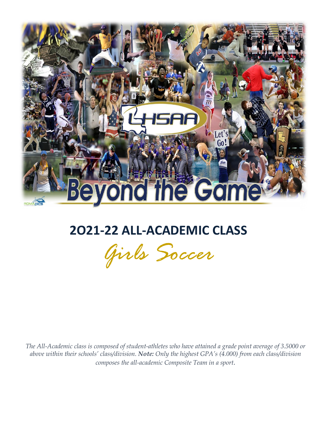

## **2O21-22 ALL-ACADEMIC CLASS**



 *The All-Academic class is composed of student-athletes who have attained a grade point average of 3.5000 or above within their schools' class/division. Note: Only the highest GPA's (4.000) from each class/division composes the all-academic Composite Team in a sport.*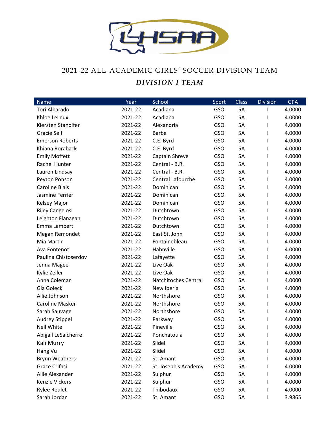

## 2021-22 ALL-ACADEMIC GIRLS' SOCCER DIVISION TEAM *DIVISION I TEAM*

| Name                   | Year    | School               | Sport      | <b>Class</b> | <b>Division</b> | <b>GPA</b> |
|------------------------|---------|----------------------|------------|--------------|-----------------|------------|
| Tori Albarado          | 2021-22 | Acadiana             | GSO        | 5A           |                 | 4.0000     |
| Khloe LeLeux           | 2021-22 | Acadiana             | <b>GSO</b> | 5A           |                 | 4.0000     |
| Kiersten Standifer     | 2021-22 | Alexandria           | <b>GSO</b> | 5A           |                 | 4.0000     |
| <b>Gracie Self</b>     | 2021-22 | <b>Barbe</b>         | GSO        | 5A           |                 | 4.0000     |
| <b>Emerson Roberts</b> | 2021-22 | C.E. Byrd            | <b>GSO</b> | 5A           |                 | 4.0000     |
| Khiana Roraback        | 2021-22 | C.E. Byrd            | GSO        | 5A           |                 | 4.0000     |
| <b>Emily Moffett</b>   | 2021-22 | Captain Shreve       | <b>GSO</b> | 5A           |                 | 4.0000     |
| Rachel Hunter          | 2021-22 | Central - B.R.       | <b>GSO</b> | 5A           |                 | 4.0000     |
| Lauren Lindsay         | 2021-22 | Central - B.R.       | GSO        | 5A           |                 | 4.0000     |
| Peyton Ponson          | 2021-22 | Central Lafourche    | GSO        | 5A           |                 | 4.0000     |
| <b>Caroline Blais</b>  | 2021-22 | Dominican            | <b>GSO</b> | 5A           |                 | 4.0000     |
| Jasmine Ferrier        | 2021-22 | Dominican            | GSO        | 5A           |                 | 4.0000     |
| Kelsey Major           | 2021-22 | Dominican            | GSO        | 5A           |                 | 4.0000     |
| <b>Riley Cangelosi</b> | 2021-22 | Dutchtown            | <b>GSO</b> | 5A           |                 | 4.0000     |
| Leighton Flanagan      | 2021-22 | Dutchtown            | GSO        | 5A           |                 | 4.0000     |
| Emma Lambert           | 2021-22 | Dutchtown            | <b>GSO</b> | 5A           |                 | 4.0000     |
| Megan Remondet         | 2021-22 | East St. John        | <b>GSO</b> | 5A           |                 | 4.0000     |
| Mia Martin             | 2021-22 | Fontainebleau        | GSO        | 5A           |                 | 4.0000     |
| Ava Fontenot           | 2021-22 | Hahnville            | GSO        | 5A           |                 | 4.0000     |
| Paulina Chistoserdov   | 2021-22 | Lafayette            | <b>GSO</b> | 5A           |                 | 4.0000     |
| Jenna Magee            | 2021-22 | Live Oak             | GSO        | 5A           |                 | 4.0000     |
| Kylie Zeller           | 2021-22 | Live Oak             | <b>GSO</b> | 5A           |                 | 4.0000     |
| Anna Coleman           | 2021-22 | Natchitoches Central | GSO        | 5A           |                 | 4.0000     |
| Gia Golecki            | 2021-22 | New Iberia           | <b>GSO</b> | 5A           |                 | 4.0000     |
| Allie Johnson          | 2021-22 | Northshore           | GSO        | 5A           |                 | 4.0000     |
| <b>Caroline Masker</b> | 2021-22 | Northshore           | <b>GSO</b> | 5A           |                 | 4.0000     |
| Sarah Sauvage          | 2021-22 | Northshore           | GSO        | 5A           |                 | 4.0000     |
| Audrey Stippel         | 2021-22 | Parkway              | <b>GSO</b> | 5A           |                 | 4.0000     |
| <b>Nell White</b>      | 2021-22 | Pineville            | GSO        | 5A           |                 | 4.0000     |
| Abigail LeSaicherre    | 2021-22 | Ponchatoula          | GSO        | 5A           |                 | 4.0000     |
| Kali Murry             | 2021-22 | Slidell              | GSO        | 5A           |                 | 4.0000     |
| Hang Vu                | 2021-22 | Slidell              | GSO        | 5A           |                 | 4.0000     |
| <b>Brynn Weathers</b>  | 2021-22 | St. Amant            | <b>GSO</b> | 5A           |                 | 4.0000     |
| Grace Crifasi          | 2021-22 | St. Joseph's Academy | GSO        | 5A           |                 | 4.0000     |
| Allie Alexander        | 2021-22 | Sulphur              | <b>GSO</b> | 5A           |                 | 4.0000     |
| <b>Kenzie Vickers</b>  | 2021-22 | Sulphur              | GSO        | 5A           |                 | 4.0000     |
| <b>Rylee Reulet</b>    | 2021-22 | Thibodaux            | <b>GSO</b> | 5A           |                 | 4.0000     |
| Sarah Jordan           | 2021-22 | St. Amant            | GSO        | 5A           | I               | 3.9865     |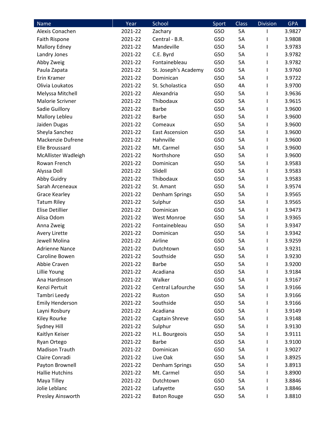| Name                   | Year    | School                | Sport | <b>Class</b> | <b>Division</b> | <b>GPA</b> |
|------------------------|---------|-----------------------|-------|--------------|-----------------|------------|
| Alexis Conachen        | 2021-22 | Zachary               | GSO   | 5A           |                 | 3.9827     |
| Faith Rispone          | 2021-22 | Central - B.R.        | GSO   | 5A           |                 | 3.9808     |
| <b>Mallory Edney</b>   | 2021-22 | Mandeville            | GSO   | 5A           |                 | 3.9783     |
| Landry Jones           | 2021-22 | C.E. Byrd             | GSO   | 5A           |                 | 3.9782     |
| Abby Zweig             | 2021-22 | Fontainebleau         | GSO   | 5A           |                 | 3.9782     |
| Paula Zapata           | 2021-22 | St. Joseph's Academy  | GSO   | 5A           | I               | 3.9760     |
| Erin Kramer            | 2021-22 | Dominican             | GSO   | 5A           | I               | 3.9722     |
| Olivia Loukatos        | 2021-22 | St. Scholastica       | GSO   | 4A           |                 | 3.9700     |
| Melyssa Mitchell       | 2021-22 | Alexandria            | GSO   | 5A           |                 | 3.9636     |
| Malorie Scrivner       | 2021-22 | Thibodaux             | GSO   | 5A           |                 | 3.9615     |
| Sadie Guillory         | 2021-22 | <b>Barbe</b>          | GSO   | 5A           | I               | 3.9600     |
| Mallory Lebleu         | 2021-22 | <b>Barbe</b>          | GSO   | 5A           |                 | 3.9600     |
| Jaiden Dugas           | 2021-22 | Comeaux               | GSO   | 5A           |                 | 3.9600     |
| Sheyla Sanchez         | 2021-22 | <b>East Ascension</b> | GSO   | 5A           |                 | 3.9600     |
| Mackenzie Dufrene      | 2021-22 | Hahnville             | GSO   | 5A           |                 | 3.9600     |
| <b>Elle Broussard</b>  | 2021-22 | Mt. Carmel            | GSO   | 5A           |                 | 3.9600     |
| McAllister Wadleigh    | 2021-22 | Northshore            | GSO   | 5A           |                 | 3.9600     |
| Rowan French           | 2021-22 | Dominican             | GSO   | 5A           |                 | 3.9583     |
| Alyssa Doll            | 2021-22 | Slidell               | GSO   | 5A           |                 | 3.9583     |
| Abby Guidry            | 2021-22 | Thibodaux             | GSO   | 5A           |                 | 3.9583     |
| Sarah Arceneaux        | 2021-22 | St. Amant             | GSO   | 5A           | I               | 3.9574     |
| <b>Grace Kearley</b>   | 2021-22 | Denham Springs        | GSO   | 5A           |                 | 3.9565     |
| <b>Tatum Riley</b>     | 2021-22 | Sulphur               | GSO   | 5A           |                 | 3.9565     |
| <b>Elise Detillier</b> | 2021-22 | Dominican             | GSO   | 5A           |                 | 3.9473     |
| Alisa Odom             | 2021-22 | <b>West Monroe</b>    | GSO   | 5A           |                 | 3.9365     |
| Anna Zweig             | 2021-22 | Fontainebleau         | GSO   | 5A           |                 | 3.9347     |
| Avery Lirette          | 2021-22 | Dominican             | GSO   | 5A           |                 | 3.9342     |
| Jewell Molina          | 2021-22 | Airline               | GSO   | 5A           | L               | 3.9259     |
| <b>Adrienne Nance</b>  | 2021-22 | Dutchtown             | GSO   | 5A           |                 | 3.9231     |
| Caroline Bowen         | 2021-22 | Southside             | GSO   | 5A           |                 | 3.9230     |
| Abbie Craven           | 2021-22 | <b>Barbe</b>          | GSO   | 5A           | I               | 3.9200     |
| Lillie Young           | 2021-22 | Acadiana              | GSO   | 5A           |                 | 3.9184     |
| Ana Hardinson          | 2021-22 | Walker                | GSO   | 5A           |                 | 3.9167     |
| Kenzi Pertuit          | 2021-22 | Central Lafourche     | GSO   | 5A           |                 | 3.9166     |
| Tambri Leedy           | 2021-22 | Ruston                | GSO   | 5A           |                 | 3.9166     |
| <b>Emily Henderson</b> | 2021-22 | Southside             | GSO   | 5A           |                 | 3.9166     |
| Layni Rosbury          | 2021-22 | Acadiana              | GSO   | 5A           |                 | 3.9149     |
| Kiley Rourke           | 2021-22 | Captain Shreve        | GSO   | 5A           |                 | 3.9148     |
| Sydney Hill            | 2021-22 | Sulphur               | GSO   | 5A           |                 | 3.9130     |
| Kaitlyn Keiser         | 2021-22 | H.L. Bourgeois        | GSO   | 5A           |                 | 3.9111     |
| Ryan Ortego            | 2021-22 | <b>Barbe</b>          | GSO   | 5A           |                 | 3.9100     |
| <b>Madison Trauth</b>  | 2021-22 | Dominican             | GSO   | 5A           |                 | 3.9027     |
| Claire Conradi         | 2021-22 | Live Oak              | GSO   | 5A           |                 | 3.8925     |
| Payton Brownell        | 2021-22 | Denham Springs        | GSO   | 5A           |                 | 3.8913     |
| <b>Hallie Hutchins</b> | 2021-22 | Mt. Carmel            | GSO   | 5A           |                 | 3.8900     |
| Maya Tilley            | 2021-22 | Dutchtown             | GSO   | 5A           |                 | 3.8846     |
| Jolie Leblanc          | 2021-22 | Lafayette             | GSO   | 5A           |                 | 3.8846     |
| Presley Ainsworth      | 2021-22 | <b>Baton Rouge</b>    | GSO   | 5A           |                 | 3.8810     |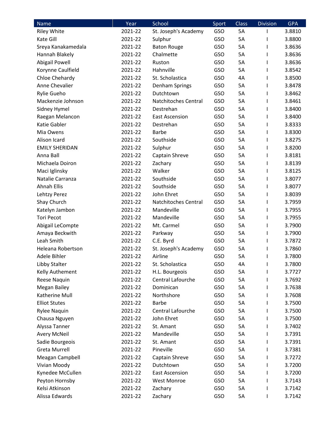| Name                  | Year    | School                      | Sport | <b>Class</b> | <b>Division</b> | <b>GPA</b> |
|-----------------------|---------|-----------------------------|-------|--------------|-----------------|------------|
| <b>Riley White</b>    | 2021-22 | St. Joseph's Academy        | GSO   | 5A           |                 | 3.8810     |
| Kate Gill             | 2021-22 | Sulphur                     | GSO   | 5A           |                 | 3.8800     |
| Sreya Kanakamedala    | 2021-22 | <b>Baton Rouge</b>          | GSO   | 5A           |                 | 3.8636     |
| Hannah Blakely        | 2021-22 | Chalmette                   | GSO   | 5A           |                 | 3.8636     |
| Abigail Powell        | 2021-22 | Ruston                      | GSO   | 5A           |                 | 3.8636     |
| Korynne Caulfield     | 2021-22 | Hahnville                   | GSO   | 5A           |                 | 3.8542     |
| Chloe Chehardy        | 2021-22 | St. Scholastica             | GSO   | 4A           | I               | 3.8500     |
| Anne Chevalier        | 2021-22 | Denham Springs              | GSO   | 5A           |                 | 3.8478     |
| Rylie Gueho           | 2021-22 | Dutchtown                   | GSO   | 5A           |                 | 3.8462     |
| Mackenzie Johnson     | 2021-22 | Natchitoches Central        | GSO   | 5A           |                 | 3.8461     |
| Sidney Hymel          | 2021-22 | Destrehan                   | GSO   | 5A           | I               | 3.8400     |
| Raegan Melancon       | 2021-22 | <b>East Ascension</b>       | GSO   | 5A           |                 | 3.8400     |
| Katie Gabler          | 2021-22 | Destrehan                   | GSO   | 5A           |                 | 3.8333     |
| Mia Owens             | 2021-22 | <b>Barbe</b>                | GSO   | 5A           |                 | 3.8300     |
| Alison Icard          | 2021-22 | Southside                   | GSO   | 5A           |                 | 3.8275     |
| <b>EMILY SHERIDAN</b> | 2021-22 | Sulphur                     | GSO   | 5A           |                 | 3.8200     |
| Anna Ball             | 2021-22 | Captain Shreve              | GSO   | 5A           |                 | 3.8181     |
| Michaela Doiron       | 2021-22 | Zachary                     | GSO   | 5A           |                 | 3.8139     |
| Maci Iglinsky         | 2021-22 | Walker                      | GSO   | 5A           |                 | 3.8125     |
| Natalie Carranza      | 2021-22 | Southside                   | GSO   | 5A           |                 | 3.8077     |
| <b>Ahnah Ellis</b>    | 2021-22 | Southside                   | GSO   | 5A           | I               | 3.8077     |
| Lehtzy Perez          | 2021-22 | John Ehret                  | GSO   | 5A           |                 | 3.8039     |
| Shay Church           | 2021-22 | <b>Natchitoches Central</b> | GSO   | 5A           |                 | 3.7959     |
| Katelyn Jambon        | 2021-22 | Mandeville                  | GSO   | 5A           |                 | 3.7955     |
| <b>Tori Pecot</b>     | 2021-22 | Mandeville                  | GSO   | 5A           |                 | 3.7955     |
| Abigail LeCompte      | 2021-22 | Mt. Carmel                  | GSO   | 5A           |                 | 3.7900     |
| Amaya Beckwith        | 2021-22 | Parkway                     | GSO   | 5A           |                 | 3.7900     |
| Leah Smith            | 2021-22 | C.E. Byrd                   | GSO   | 5A           | L               | 3.7872     |
| Heleana Robertson     | 2021-22 | St. Joseph's Academy        | GSO   | 5A           |                 | 3.7860     |
| Adele Bihler          | 2021-22 | Airline                     | GSO   | 5A           |                 | 3.7800     |
| Libby Stalter         | 2021-22 | St. Scholastica             | GSO   | 4A           |                 | 3.7800     |
| Kelly Authement       | 2021-22 | H.L. Bourgeois              | GSO   | 5A           |                 | 3.7727     |
| Reese Naquin          | 2021-22 | Central Lafourche           | GSO   | 5A           |                 | 3.7692     |
| <b>Megan Bailey</b>   | 2021-22 | Dominican                   | GSO   | 5A           |                 | 3.7638     |
| Katherine Mull        | 2021-22 | Northshore                  | GSO   | 5A           |                 | 3.7608     |
| <b>Elliot Stutes</b>  | 2021-22 | <b>Barbe</b>                | GSO   | 5A           |                 | 3.7500     |
| <b>Rylee Naquin</b>   | 2021-22 | Central Lafourche           | GSO   | 5A           |                 | 3.7500     |
| Chausa Nguyen         | 2021-22 | John Ehret                  | GSO   | 5A           |                 | 3.7500     |
| Alyssa Tanner         | 2021-22 | St. Amant                   | GSO   | 5A           |                 | 3.7402     |
| <b>Avery McNeil</b>   | 2021-22 | Mandeville                  | GSO   | 5A           |                 | 3.7391     |
| Sadie Bourgeois       | 2021-22 | St. Amant                   | GSO   | 5A           |                 | 3.7391     |
| <b>Greta Murrell</b>  | 2021-22 | Pineville                   | GSO   | 5A           |                 | 3.7381     |
| Meagan Campbell       | 2021-22 | Captain Shreve              | GSO   | 5A           |                 | 3.7272     |
| Vivian Moody          | 2021-22 | Dutchtown                   | GSO   | 5A           |                 | 3.7200     |
| Kynedee McCullen      | 2021-22 | <b>East Ascension</b>       | GSO   | 5A           |                 | 3.7200     |
| Peyton Hornsby        | 2021-22 | <b>West Monroe</b>          | GSO   | 5A           |                 | 3.7143     |
| Kelsi Atkinson        | 2021-22 | Zachary                     | GSO   | 5A           |                 | 3.7142     |
| Alissa Edwards        | 2021-22 | Zachary                     | GSO   | 5A           |                 | 3.7142     |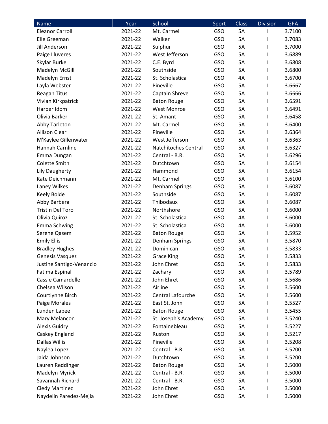| <b>Name</b>              | Year    | School               | Sport      | <b>Class</b> | <b>Division</b> | <b>GPA</b> |
|--------------------------|---------|----------------------|------------|--------------|-----------------|------------|
| <b>Eleanor Carroll</b>   | 2021-22 | Mt. Carmel           | GSO        | 5A           | ı               | 3.7100     |
| Elle Greeman             | 2021-22 | Walker               | <b>GSO</b> | 5A           | I               | 3.7083     |
| <b>Jill Anderson</b>     | 2021-22 | Sulphur              | GSO        | 5A           | ı               | 3.7000     |
| Paige Lluveres           | 2021-22 | West Jefferson       | GSO        | 5A           | ı               | 3.6889     |
| Skylar Burke             | 2021-22 | C.E. Byrd            | GSO        | 5A           |                 | 3.6808     |
| Madelyn McGill           | 2021-22 | Southside            | <b>GSO</b> | 5A           |                 | 3.6800     |
| Madelyn Ernst            | 2021-22 | St. Scholastica      | GSO        | 4A           |                 | 3.6700     |
| Layla Webster            | 2021-22 | Pineville            | GSO        | 5A           | ı               | 3.6667     |
| <b>Reagan Titus</b>      | 2021-22 | Captain Shreve       | GSO        | 5A           | I               | 3.6666     |
| Vivian Kirkpatrick       | 2021-22 | <b>Baton Rouge</b>   | GSO        | 5A           |                 | 3.6591     |
| Harper Idom              | 2021-22 | <b>West Monroe</b>   | GSO        | 5A           | I               | 3.6491     |
| Olivia Barker            | 2021-22 | St. Amant            | GSO        | 5A           | ı               | 3.6458     |
| Abby Tarleton            | 2021-22 | Mt. Carmel           | GSO        | 5A           |                 | 3.6400     |
| <b>Allison Clear</b>     | 2021-22 | Pineville            | <b>GSO</b> | 5A           |                 | 3.6364     |
| M'Kaylee Gillenwater     | 2021-22 | West Jefferson       | GSO        | 5A           |                 | 3.6363     |
| Hannah Carnline          | 2021-22 | Natchitoches Central | <b>GSO</b> | 5A           |                 | 3.6327     |
| Emma Dungan              | 2021-22 | Central - B.R.       | GSO        | 5A           |                 | 3.6296     |
| Colette Smith            | 2021-22 | Dutchtown            | <b>GSO</b> | <b>5A</b>    | ı               | 3.6154     |
| <b>Lily Daugherty</b>    | 2021-22 | Hammond              | GSO        | 5A           | ı               | 3.6154     |
| Kate Deichmann           | 2021-22 | Mt. Carmel           | <b>GSO</b> | 5A           | ı               | 3.6100     |
| Laney Wilkes             | 2021-22 | Denham Springs       | GSO        | 5A           | ı               | 3.6087     |
| Keely Bolde              | 2021-22 | Southside            | GSO        | 5A           |                 | 3.6087     |
| Abby Barbera             | 2021-22 | Thibodaux            | GSO        | 5A           |                 | 3.6087     |
| <b>Tristin Del Toro</b>  | 2021-22 | Northshore           | GSO        | 5A           |                 | 3.6000     |
| Olivia Quiroz            | 2021-22 | St. Scholastica      | GSO        | 4A           | ı               | 3.6000     |
| <b>Emma Schwing</b>      | 2021-22 | St. Scholastica      | GSO        | 4A           | I               | 3.6000     |
| Serene Qasem             | 2021-22 | <b>Baton Rouge</b>   | GSO        | 5A           | I               | 3.5952     |
| <b>Emily Ellis</b>       | 2021-22 | Denham Springs       | GSO        | 5A           | I               | 3.5870     |
| <b>Bradley Hughes</b>    | 2021-22 | Dominican            | GSO        | 5A           |                 | 3.5833     |
| Genesis Vasquez          | 2021-22 | <b>Grace King</b>    | GSO        | 5A           | ı               | 3.5833     |
| Justine Santigo-Venancio | 2021-22 | John Ehret           | <b>GSO</b> | 5A           | ı               | 3.5833     |
| Fatima Espinal           | 2021-22 | Zachary              | <b>GSO</b> | 5A           |                 | 3.5789     |
| Cassie Camardelle        | 2021-22 | John Ehret           | GSO        | 5A           | ı               | 3.5686     |
| Chelsea Wilson           | 2021-22 | Airline              | GSO        | 5A           |                 | 3.5600     |
| Courtlynne Birch         | 2021-22 | Central Lafourche    | GSO        | 5A           |                 | 3.5600     |
| Paige Morales            | 2021-22 | East St. John        | GSO        | 5A           |                 | 3.5527     |
| Lunden Labee             | 2021-22 | <b>Baton Rouge</b>   | GSO        | 5A           |                 | 3.5455     |
| Mary Melancon            | 2021-22 | St. Joseph's Academy | GSO        | 5A           |                 | 3.5240     |
| <b>Alexis Guidry</b>     | 2021-22 | Fontainebleau        | GSO        | 5A           |                 | 3.5227     |
| Caskey England           | 2021-22 | Ruston               | GSO        | 5A           |                 | 3.5217     |
| Dallas Willis            | 2021-22 | Pineville            | GSO        | 5A           |                 | 3.5208     |
| Naylea Lopez             | 2021-22 | Central - B.R.       | GSO        | 5A           |                 | 3.5200     |
| Jaida Johnson            | 2021-22 | Dutchtown            | GSO        | 5A           | ı               | 3.5200     |
| Lauren Reddinger         | 2021-22 | <b>Baton Rouge</b>   | GSO        | 5A           |                 | 3.5000     |
| Madelyn Myrick           | 2021-22 | Central - B.R.       | <b>GSO</b> | 5A           |                 | 3.5000     |
| Savannah Richard         | 2021-22 | Central - B.R.       | GSO        | 5A           |                 | 3.5000     |
| <b>Ciedy Martinez</b>    | 2021-22 | John Ehret           | GSO        | 5A           |                 | 3.5000     |
| Naydelin Paredez-Mejia   | 2021-22 | John Ehret           | GSO        | 5A           | ı               | 3.5000     |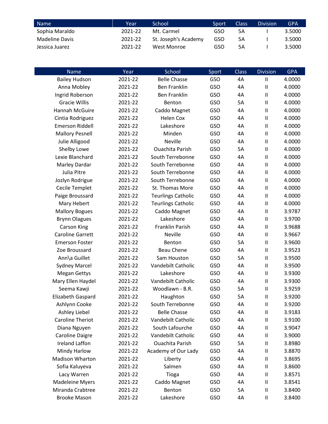| Name '         | Year    | School               | Sport | Class | <b>Division</b> | GPA    |
|----------------|---------|----------------------|-------|-------|-----------------|--------|
| Sophia Maraldo | 2021-22 | Mt. Carmel           | GSO   | 5Α    |                 | 3.5000 |
| Madeline Davis | 2021-22 | St. Joseph's Academy | GSO   | 5Α    |                 | 3.5000 |
| Jessica Juarez | 2021-22 | West Monroe          | GSO   | 5А    |                 | 3.5000 |

| Name                    | Year    | School                    | Sport      | <b>Class</b> | <b>Division</b>            | <b>GPA</b> |
|-------------------------|---------|---------------------------|------------|--------------|----------------------------|------------|
| <b>Bailey Hudson</b>    | 2021-22 | <b>Belle Chasse</b>       | GSO        | 4A           | $\mathbf{I}$               | 4.0000     |
| Anna Mobley             | 2021-22 | <b>Ben Franklin</b>       | GSO        | 4A           | $\sf II$                   | 4.0000     |
| Ingrid Roberson         | 2021-22 | <b>Ben Franklin</b>       | GSO        | 4A           | $\ensuremath{\mathsf{II}}$ | 4.0000     |
| <b>Gracie Willis</b>    | 2021-22 | Benton                    | GSO        | <b>5A</b>    | $\sf II$                   | 4.0000     |
| Hannah McGuire          | 2021-22 | Caddo Magnet              | GSO        | 4A           | $\sf II$                   | 4.0000     |
| Cintia Rodriguez        | 2021-22 | <b>Helen Cox</b>          | <b>GSO</b> | 4A           | $\sf II$                   | 4.0000     |
| <b>Emerson Riddell</b>  | 2021-22 | Lakeshore                 | GSO        | 4A           | $\ensuremath{\mathsf{II}}$ | 4.0000     |
| <b>Mallory Pesnell</b>  | 2021-22 | Minden                    | GSO        | 4A           | $\ensuremath{\mathsf{II}}$ | 4.0000     |
| Julie Alligood          | 2021-22 | <b>Neville</b>            | GSO        | 4A           | $\sf II$                   | 4.0000     |
| Shelby Lowe             | 2021-22 | <b>Ouachita Parish</b>    | GSO        | <b>5A</b>    | $\sf II$                   | 4.0000     |
| Lexie Blanchard         | 2021-22 | South Terrebonne          | <b>GSO</b> | 4A           | $\sf II$                   | 4.0000     |
| Marley Dardar           | 2021-22 | South Terrebonne          | GSO        | 4A           | $\sf II$                   | 4.0000     |
| Julia Pitre             | 2021-22 | South Terrebonne          | GSO        | 4A           | $\ensuremath{\mathsf{II}}$ | 4.0000     |
| Jozlyn Rodrigue         | 2021-22 | South Terrebonne          | GSO        | 4A           | $\sf II$                   | 4.0000     |
| Cecile Templet          | 2021-22 | St. Thomas More           | GSO        | 4A           | $\ensuremath{\mathsf{II}}$ | 4.0000     |
| Paige Broussard         | 2021-22 | <b>Teurlings Catholic</b> | GSO        | 4A           | $\sf II$                   | 4.0000     |
| Mary Hebert             | 2021-22 | <b>Teurlings Catholic</b> | GSO        | 4A           | $\sf II$                   | 4.0000     |
| <b>Mallory Bogues</b>   | 2021-22 | Caddo Magnet              | <b>GSO</b> | 4A           | $\ensuremath{\mathsf{II}}$ | 3.9787     |
| <b>Brynn Olagues</b>    | 2021-22 | Lakeshore                 | GSO        | 4A           | $\sf II$                   | 3.9700     |
| <b>Carson King</b>      | 2021-22 | Franklin Parish           | <b>GSO</b> | 4A           | $\sf II$                   | 3.9688     |
| <b>Caroline Garrett</b> | 2021-22 | Neville                   | GSO        | 4A           | $\sf II$                   | 3.9667     |
| <b>Emerson Foster</b>   | 2021-22 | Benton                    | GSO        | 5A           | $\sf II$                   | 3.9600     |
| Zoe Broussard           | 2021-22 | <b>Beau Chene</b>         | GSO        | 4A           | $\sf II$                   | 3.9523     |
| Ann\a Guillet           | 2021-22 | Sam Houston               | GSO        | 5A           | $\sf II$                   | 3.9500     |
| <b>Sydney Marcel</b>    | 2021-22 | Vandebilt Catholic        | <b>GSO</b> | 4A           | $\sf II$                   | 3.9500     |
| <b>Megan Gettys</b>     | 2021-22 | Lakeshore                 | <b>GSO</b> | 4A           | $\sf II$                   | 3.9300     |
| Mary Ellen Haydel       | 2021-22 | Vandebilt Catholic        | GSO        | 4A           | $\ensuremath{\mathsf{II}}$ | 3.9300     |
| Seema Kawji             | 2021-22 | Woodlawn - B.R.           | GSO        | <b>5A</b>    | $\sf II$                   | 3.9259     |
| Elizabeth Gaspard       | 2021-22 | Haughton                  | GSO        | 5A           | $\sf II$                   | 3.9200     |
| Ashlynn Cooke           | 2021-22 | South Terrebonne          | GSO        | 4A           | Ш                          | 3.9200     |
| Ashley Liebel           | 2021-22 | <b>Belle Chasse</b>       | <b>GSO</b> | 4A           | $\sf II$                   | 3.9183     |
| <b>Caroline Theriot</b> | 2021-22 | Vandebilt Catholic        | GSO        | 4A           | $\sf II$                   | 3.9100     |
| Diana Nguyen            | 2021-22 | South Lafourche           | <b>GSO</b> | 4A           | $\sf II$                   | 3.9047     |
| Caroline Daigre         | 2021-22 | Vandebilt Catholic        | GSO        | 4A           | $\ensuremath{\mathsf{II}}$ | 3.9000     |
| <b>Ireland Laffon</b>   | 2021-22 | <b>Ouachita Parish</b>    | <b>GSO</b> | 5A           | $\sf II$                   | 3.8980     |
| Mindy Harlow            | 2021-22 | Academy of Our Lady       | <b>GSO</b> | 4A           | $\sf II$                   | 3.8870     |
| Madison Wharton         | 2021-22 | Liberty                   | GSO        | 4A           | $\sf II$                   | 3.8695     |
| Sofia Kaluyeva          | 2021-22 | Salmen                    | <b>GSO</b> | 4A           | $\sf II$                   | 3.8600     |
| Lacy Warren             | 2021-22 | Tioga                     | <b>GSO</b> | 4A           | $\ensuremath{\mathsf{II}}$ | 3.8571     |
| <b>Madeleine Myers</b>  | 2021-22 | Caddo Magnet              | <b>GSO</b> | 4A           | $\sf II$                   | 3.8541     |
| Miranda Crabtree        | 2021-22 | Benton                    | <b>GSO</b> | 5A           | $\sf II$                   | 3.8400     |
| <b>Brooke Mason</b>     | 2021-22 | Lakeshore                 | GSO        | 4A           | Ш                          | 3.8400     |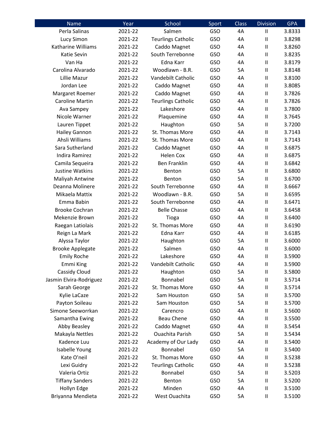| Name                      | Year    | School                    | Sport | <b>Class</b> | <b>Division</b>                       | <b>GPA</b> |
|---------------------------|---------|---------------------------|-------|--------------|---------------------------------------|------------|
| Perla Salinas             | 2021-22 | Salmen                    | GSO   | 4A           | $\begin{array}{c} \hline \end{array}$ | 3.8333     |
| Lucy Simon                | 2021-22 | <b>Teurlings Catholic</b> | GSO   | 4A           | $\sf II$                              | 3.8298     |
| <b>Katharine Williams</b> | 2021-22 | Caddo Magnet              | GSO   | 4A           | $\sf II$                              | 3.8260     |
| Katie Sevin               | 2021-22 | South Terrebonne          | GSO   | 4A           | $\mathbf{I}$                          | 3.8235     |
| Van Ha                    | 2021-22 | Edna Karr                 | GSO   | 4A           | $\mathbf{II}$                         | 3.8179     |
| Carolina Alvarado         | 2021-22 | Woodlawn - B.R.           | GSO   | 5A           | $\begin{array}{c} \hline \end{array}$ | 3.8148     |
| Lillie Mazur              | 2021-22 | Vandebilt Catholic        | GSO   | 4A           | $\sf II$                              | 3.8100     |
| Jordan Lee                | 2021-22 | Caddo Magnet              | GSO   | 4A           | $\sf II$                              | 3.8085     |
| Margaret Roemer           | 2021-22 | Caddo Magnet              | GSO   | 4A           | $\sf II$                              | 3.7826     |
| Caroline Martin           | 2021-22 | <b>Teurlings Catholic</b> | GSO   | 4A           | $\begin{array}{c} \hline \end{array}$ | 3.7826     |
| Ava Sampey                | 2021-22 | Lakeshore                 | GSO   | 4A           | $\begin{array}{c} \hline \end{array}$ | 3.7800     |
| Nicole Warner             | 2021-22 | Plaquemine                | GSO   | 4A           | $\sf II$                              | 3.7645     |
| Lauren Tippet             | 2021-22 | Haughton                  | GSO   | 5A           | $\begin{array}{c} \hline \end{array}$ | 3.7200     |
| <b>Hailey Gannon</b>      | 2021-22 | St. Thomas More           | GSO   | 4A           | $\sf II$                              | 3.7143     |
| Ahsli Williams            | 2021-22 | St. Thomas More           | GSO   | 4A           | $\begin{array}{c} \hline \end{array}$ | 3.7143     |
| Sara Sutherland           | 2021-22 | Caddo Magnet              | GSO   | 4A           | $\sf II$                              | 3.6875     |
| <b>Indira Ramirez</b>     | 2021-22 | <b>Helen Cox</b>          | GSO   | 4A           | $\mathbf{I}$                          | 3.6875     |
| Camila Sequeira           | 2021-22 | <b>Ben Franklin</b>       | GSO   | 4A           | $\sf II$                              | 3.6842     |
| Justine Watkins           | 2021-22 | Benton                    | GSO   | 5A           | $\sf II$                              | 3.6800     |
| Maliyah Antwine           | 2021-22 | Benton                    | GSO   | 5A           | $\begin{array}{c} \hline \end{array}$ | 3.6700     |
| Deanna Molinere           | 2021-22 | South Terrebonne          | GSO   | 4A           | $\sf II$                              | 3.6667     |
| Mikaela Mattix            | 2021-22 | Woodlawn - B.R.           | GSO   | 5A           | $\mathbf{II}$                         | 3.6595     |
| Emma Babin                | 2021-22 | South Terrebonne          | GSO   | 4A           | $\mathbf{I}$                          | 3.6471     |
| <b>Brooke Cochran</b>     | 2021-22 | <b>Belle Chasse</b>       | GSO   | 4A           | $\begin{array}{c} \hline \end{array}$ | 3.6458     |
| Mekenzie Brown            | 2021-22 | Tioga                     | GSO   | 4A           | $\begin{array}{c} \hline \end{array}$ | 3.6400     |
| Raegan Latiolais          | 2021-22 | St. Thomas More           | GSO   | 4A           | $\sf II$                              | 3.6190     |
| Reign La Mark             | 2021-22 | Edna Karr                 | GSO   | 4A           | $\sf II$                              | 3.6185     |
| Alyssa Taylor             | 2021-22 | Haughton                  | GSO   | 5A           | $\sf II$                              | 3.6000     |
| <b>Brooke Applegate</b>   | 2021-22 | Salmen                    | GSO   | 4A           | $\mathbf{II}$                         | 3.6000     |
| <b>Emily Roche</b>        | 2021-22 | Lakeshore                 | GSO   | 4A           | $\mathsf{I}$                          | 3.5900     |
| Emmi King                 | 2021-22 | Vandebilt Catholic        | GSO   | 4A           | $\sf II$                              | 3.5900     |
| Cassidy Cloud             | 2021-22 | Haughton                  | GSO   | 5A           | $\begin{array}{c} \hline \end{array}$ | 3.5800     |
| Jasmin Elvira-Rodriguez   | 2021-22 | Bonnabel                  | GSO   | 5A           | $\sf II$                              | 3.5714     |
| Sarah George              | 2021-22 | St. Thomas More           | GSO   | 4A           | $\begin{array}{c} \hline \end{array}$ | 3.5714     |
| Kylie LaCaze              | 2021-22 | Sam Houston               | GSO   | 5A           | $\mathbf{I}$                          | 3.5700     |
| Payton Soileau            | 2021-22 | Sam Houston               | GSO   | 5A           | $\sf II$                              | 3.5700     |
| Simone Seeworrkan         | 2021-22 | Carencro                  | GSO   | 4A           | $\begin{array}{c} \hline \end{array}$ | 3.5600     |
| Samantha Ewing            | 2021-22 | <b>Beau Chene</b>         | GSO   | 4A           | $\sf II$                              | 3.5500     |
| Abby Beasley              | 2021-22 | Caddo Magnet              | GSO   | 4A           | $\sf II$                              | 3.5454     |
| Makayla Nettles           | 2021-22 | <b>Ouachita Parish</b>    | GSO   | 5A           | $\mathbf{I}$                          | 3.5434     |
| Kadence Luu               | 2021-22 | Academy of Our Lady       | GSO   | 4A           | $\sf II$                              | 3.5400     |
| Isabelle Young            | 2021-22 | Bonnabel                  | GSO   | 5A           | $\sf II$                              | 3.5400     |
| Kate O'neil               | 2021-22 | St. Thomas More           | GSO   | 4A           | $\sf II$                              | 3.5238     |
| Lexi Guidry               | 2021-22 | <b>Teurlings Catholic</b> | GSO   | 4A           | $\sf II$                              | 3.5238     |
| Valeria Ortiz             | 2021-22 | Bonnabel                  | GSO   | 5A           | $\sf II$                              | 3.5203     |
| <b>Tiffany Sanders</b>    | 2021-22 | Benton                    | GSO   | 5A           | $\begin{array}{c} \hline \end{array}$ | 3.5200     |
| Hollyn Edge               | 2021-22 | Minden                    | GSO   | 4A           | $\mathbf{I}$                          | 3.5100     |
| Briyanna Mendieta         | 2021-22 | West Ouachita             | GSO   | 5A           | $\sf II$                              | 3.5100     |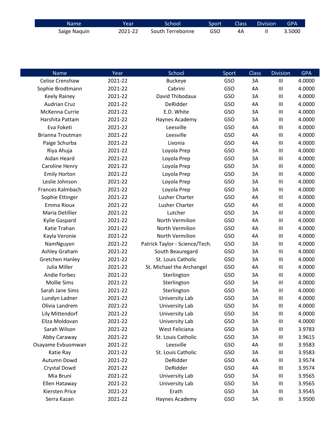| Name         | Year    | School           | Sport | Class | <b>Division</b> | <b>GPA</b> |
|--------------|---------|------------------|-------|-------|-----------------|------------|
| Saige Naquin | 2021-22 | South Terrebonne | GSO   | 4Α    |                 | 3.5000     |

| Name                   | Year    | School                         | Sport      | <b>Class</b> | <b>Division</b> | <b>GPA</b> |
|------------------------|---------|--------------------------------|------------|--------------|-----------------|------------|
| Celise Crenshaw        | 2021-22 | <b>Buckeye</b>                 | GSO        | 3A           | III             | 4.0000     |
| Sophie Brodtmann       | 2021-22 | Cabrini                        | GSO        | 4A           | III             | 4.0000     |
| Keely Rainey           | 2021-22 | David Thibodaux                | GSO        | 3A           | $\mathbf{III}$  | 4.0000     |
| <b>Audrian Cruz</b>    | 2021-22 | DeRidder                       | <b>GSO</b> | 4A           | $\mathbf{III}$  | 4.0000     |
| McKenna Currie         | 2021-22 | E.D. White                     | GSO        | 3A           | III             | 4.0000     |
| Harshita Pattam        | 2021-22 | Haynes Academy                 | <b>GSO</b> | 3A           | $\mathbf{III}$  | 4.0000     |
| Eva Foketi             | 2021-22 | Leesville                      | <b>GSO</b> | 4A           | $\mathbf{III}$  | 4.0000     |
| Brianna Troutman       | 2021-22 | Leesville                      | GSO        | 4A           | III             | 4.0000     |
| Paige Schurba          | 2021-22 | Livonia                        | GSO        | 4A           | $\mathbf{III}$  | 4.0000     |
| Riya Ahuja             | 2021-22 | Loyola Prep                    | <b>GSO</b> | 3A           | $\mathbf{III}$  | 4.0000     |
| Aidan Heard            | 2021-22 | Loyola Prep                    | <b>GSO</b> | 3A           | III             | 4.0000     |
| Caroline Henry         | 2021-22 | Loyola Prep                    | <b>GSO</b> | 3A           | $\mathbf{III}$  | 4.0000     |
| <b>Emily Horton</b>    | 2021-22 | Loyola Prep                    | GSO        | 3A           | $\mathbf{III}$  | 4.0000     |
| Leslie Johnson         | 2021-22 | Loyola Prep                    | <b>GSO</b> | 3A           | $\mathbf{III}$  | 4.0000     |
| Frances Kalmbach       | 2021-22 | Loyola Prep                    | <b>GSO</b> | 3A           | $\mathbf{III}$  | 4.0000     |
| Sophie Ettinger        | 2021-22 | Lusher Charter                 | GSO        | 4A           | $\mathbf{III}$  | 4.0000     |
| Emma Rioux             | 2021-22 | Lusher Charter                 | GSO        | 4A           | $\mathbf{III}$  | 4.0000     |
| Maria Detillier        | 2021-22 | Lutcher                        | GSO        | 3A           | $\mathbf{III}$  | 4.0000     |
| Kylie Gaspard          | 2021-22 | North Vermilion                | <b>GSO</b> | 4A           | $\mathbf{III}$  | 4.0000     |
| Katie Trahan           | 2021-22 | North Vermilion                | GSO        | 4A           | $\mathbf{III}$  | 4.0000     |
| Kayla Veronie          | 2021-22 | North Vermilion                | GSO        | 4A           | $\mathbf{III}$  | 4.0000     |
| NamNguyen              | 2021-22 | Patrick Taylor - Science/Tech. | GSO        | 3A           | $\mathbf{III}$  | 4.0000     |
| Ashley Graham          | 2021-22 | South Beauregard               | <b>GSO</b> | 3A           | $\mathbf{III}$  | 4.0000     |
| <b>Gretchen Hanley</b> | 2021-22 | St. Louis Catholic             | <b>GSO</b> | 3A           | $\mathbf{III}$  | 4.0000     |
| Julia Miller           | 2021-22 | St. Michael the Archangel      | GSO        | 4A           | $\mathbf{III}$  | 4.0000     |
| <b>Andie Forbes</b>    | 2021-22 | Sterlington                    | GSO        | 3A           | III             | 4.0000     |
| <b>Mollie Sims</b>     | 2021-22 | Sterlington                    | <b>GSO</b> | 3A           | $\mathbf{III}$  | 4.0000     |
| Sarah Jane Sims        | 2021-22 | Sterlington                    | <b>GSO</b> | 3A           | $\mathbf{III}$  | 4.0000     |
| Lundyn Ladner          | 2021-22 | <b>University Lab</b>          | GSO        | 3A           | III             | 4.0000     |
| Olivia Landrem         | 2021-22 | University Lab                 | GSO        | 3A           | Ш               | 4.0000     |
| Lily Mittendorf        | 2021-22 | University Lab                 | GSO        | 3A           | $\mathbf{III}$  | 4.0000     |
| Eliza Moldovan         | 2021-22 | University Lab                 | GSO        | 3A           | $\mathbf{III}$  | 4.0000     |
| Sarah Wilson           | 2021-22 | West Feliciana                 | <b>GSO</b> | 3A           | $\mathbf{III}$  | 3.9783     |
| Abby Caraway           | 2021-22 | St. Louis Catholic             | GSO        | 3A           | Ш               | 3.9615     |
| Osayame Evbuomwan      | 2021-22 | Leesville                      | <b>GSO</b> | 4A           | Ш               | 3.9583     |
| Katie Ray              | 2021-22 | St. Louis Catholic             | GSO        | 3A           | Ш               | 3.9583     |
| Autumn Dowd            | 2021-22 | DeRidder                       | GSO        | 4A           | Ш               | 3.9574     |
| Crystal Dowd           | 2021-22 | DeRidder                       | GSO        | 4A           | Ш               | 3.9574     |
| Mia Bruni              | 2021-22 | University Lab                 | GSO        | 3A           | Ш               | 3.9565     |
| Ellen Hataway          | 2021-22 | University Lab                 | GSO        | 3A           | Ш               | 3.9565     |
| Kiersten Price         | 2021-22 | Erath                          | GSO        | 3A           | $\mathbf{III}$  | 3.9545     |
| Serra Kazan            | 2021-22 | Haynes Academy                 | GSO        | 3A           | Ш               | 3.9500     |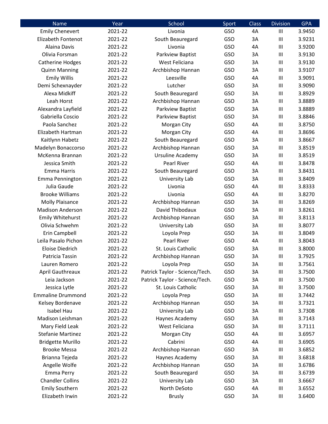| Name                      | Year    | School                         | Sport      | <b>Class</b> | <b>Division</b> | <b>GPA</b> |
|---------------------------|---------|--------------------------------|------------|--------------|-----------------|------------|
| <b>Emily Chenevert</b>    | 2021-22 | Livonia                        | <b>GSO</b> | 4A           | $\mathbf{III}$  | 3.9450     |
| <b>Elizabeth Fontenot</b> | 2021-22 | South Beauregard               | <b>GSO</b> | 3A           | $\mathbf{III}$  | 3.9231     |
| Alaina Davis              | 2021-22 | Livonia                        | GSO        | 4A           | III             | 3.9200     |
| Olivia Forsman            | 2021-22 | Parkview Baptist               | <b>GSO</b> | 3A           | $\mathbf{III}$  | 3.9130     |
| <b>Catherine Hodges</b>   | 2021-22 | West Feliciana                 | GSO        | 3A           | $\mathbf{III}$  | 3.9130     |
| <b>Quinn Manning</b>      | 2021-22 | Archbishop Hannan              | <b>GSO</b> | 3A           | $\mathbf{III}$  | 3.9107     |
| <b>Emily Willis</b>       | 2021-22 | Leesville                      | GSO        | 4A           | $\mathbf{III}$  | 3.9091     |
| Demi Schexnayder          | 2021-22 | Lutcher                        | <b>GSO</b> | 3A           | $\mathbf{III}$  | 3.9090     |
| Alexa Midkiff             | 2021-22 | South Beauregard               | <b>GSO</b> | 3A           | $\mathbf{III}$  | 3.8929     |
| Leah Horst                | 2021-22 | Archbishop Hannan              | <b>GSO</b> | 3A           | $\mathbf{III}$  | 3.8889     |
| Alexandra Layfield        | 2021-22 | Parkview Baptist               | <b>GSO</b> | 3A           | $\mathbf{III}$  | 3.8889     |
| Gabriella Coscio          | 2021-22 | Parkview Baptist               | GSO        | 3A           | $\mathbf{III}$  | 3.8846     |
| Paola Sanchez             | 2021-22 | Morgan City                    | <b>GSO</b> | 4A           | $\mathbf{III}$  | 3.8750     |
| Elizabeth Hartman         | 2021-22 | Morgan City                    | <b>GSO</b> | 4A           | $\mathbf{III}$  | 3.8696     |
| Kaitlynn Habetz           | 2021-22 | South Beauregard               | <b>GSO</b> | 3A           | $\mathbf{III}$  | 3.8667     |
| Madelyn Bonaccorso        | 2021-22 | Archbishop Hannan              | <b>GSO</b> | 3A           | $\mathbf{III}$  | 3.8519     |
| McKenna Brannan           | 2021-22 | Ursuline Academy               | <b>GSO</b> | 3A           | $\mathbf{III}$  | 3.8519     |
| Jessica Smith             | 2021-22 | <b>Pearl River</b>             | <b>GSO</b> | 4A           | $\mathbf{III}$  | 3.8478     |
| Emma Harris               | 2021-22 | South Beauregard               | <b>GSO</b> | 3A           | Ш               | 3.8431     |
| Emma Pennington           | 2021-22 | University Lab                 | <b>GSO</b> | 3A           | $\mathbf{III}$  | 3.8409     |
| Julia Gaude               | 2021-22 | Livonia                        | <b>GSO</b> | 4A           | $\mathbf{III}$  | 3.8333     |
| <b>Brooke Williams</b>    | 2021-22 | Livonia                        | <b>GSO</b> | 4A           | $\mathbf{III}$  | 3.8270     |
| <b>Molly Plaisance</b>    | 2021-22 | Archbishop Hannan              | <b>GSO</b> | 3A           | Ш               | 3.8269     |
| <b>Madison Anderson</b>   | 2021-22 | David Thibodaux                | GSO        | 3A           | $\mathbf{III}$  | 3.8261     |
| <b>Emily Whitehurst</b>   | 2021-22 | Archbishop Hannan              | <b>GSO</b> | 3A           | $\mathbf{III}$  | 3.8113     |
| Olivia Schwehm            | 2021-22 | University Lab                 | <b>GSO</b> | 3A           | $\mathbf{III}$  | 3.8077     |
| Erin Campbell             | 2021-22 | Loyola Prep                    | <b>GSO</b> | 3A           | III             | 3.8049     |
| Leila Pasalo Pichon       | 2021-22 | Pearl River                    | <b>GSO</b> | 4A           | $\mathbf{III}$  | 3.8043     |
| <b>Eloise Diedrich</b>    | 2021-22 | St. Louis Catholic             | GSO        | 3A           | $\mathbf{III}$  | 3.8000     |
| Patricia Tassin           | 2021-22 | Archbishop Hannan              | <b>GSO</b> | 3A           | Ш               | 3.7925     |
| Lauren Romero             | 2021-22 | Loyola Prep                    | <b>GSO</b> | 3A           | Ш               | 3.7561     |
| <b>April Gauthreaux</b>   | 2021-22 | Patrick Taylor - Science/Tech. | <b>GSO</b> | 3A           | Ш               | 3.7500     |
| Leia Jackson              | 2021-22 | Patrick Taylor - Science/Tech. | <b>GSO</b> | 3A           | $\mathbf{III}$  | 3.7500     |
| Jessica Lytle             | 2021-22 | St. Louis Catholic             | <b>GSO</b> | 3A           | $\mathbf{III}$  | 3.7500     |
| <b>Emmaline Drummond</b>  | 2021-22 | Loyola Prep                    | <b>GSO</b> | 3A           | $\mathbf{III}$  | 3.7442     |
| Kelsey Bordenave          | 2021-22 | Archbishop Hannan              | <b>GSO</b> | 3A           | $\mathbf{III}$  | 3.7321     |
| Isabel Hau                | 2021-22 | University Lab                 | <b>GSO</b> | 3A           | $\mathbf{III}$  | 3.7308     |
| Madison Leishman          | 2021-22 | Haynes Academy                 | <b>GSO</b> | 3A           | $\mathbf{III}$  | 3.7143     |
| Mary Field Leak           | 2021-22 | West Feliciana                 | <b>GSO</b> | 3A           | $\mathbf{III}$  | 3.7111     |
| <b>Stefanie Martinez</b>  | 2021-22 | Morgan City                    | <b>GSO</b> | 4A           | $\mathbf{III}$  | 3.6957     |
| <b>Bridgette Murillo</b>  | 2021-22 | Cabrini                        | <b>GSO</b> | 4A           | $\mathbf{III}$  | 3.6905     |
| <b>Brooke Messa</b>       | 2021-22 | Archbishop Hannan              | <b>GSO</b> | 3A           | $\mathbf{III}$  | 3.6852     |
| Brianna Tejeda            | 2021-22 | Haynes Academy                 | <b>GSO</b> | 3A           | $\mathbf{III}$  | 3.6818     |
| Angelle Wolfe             | 2021-22 | Archbishop Hannan              | <b>GSO</b> | 3A           | $\mathbf{III}$  | 3.6786     |
| <b>Emma Perry</b>         | 2021-22 | South Beauregard               | <b>GSO</b> | 3A           | Ш               | 3.6739     |
| <b>Chandler Collins</b>   | 2021-22 | University Lab                 | <b>GSO</b> | 3A           | $\mathbf{III}$  | 3.6667     |
| <b>Emily Southern</b>     | 2021-22 | North DeSoto                   | <b>GSO</b> | 4A           | $\mathbf{III}$  | 3.6552     |
| Elizabeth Irwin           | 2021-22 | <b>Brusly</b>                  | <b>GSO</b> | 3A           | Ш               | 3.6400     |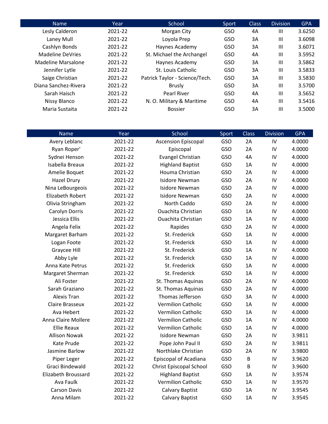| <b>Name</b>          | Year    | School                         | Sport      | <b>Class</b> | <b>Division</b> | <b>GPA</b> |
|----------------------|---------|--------------------------------|------------|--------------|-----------------|------------|
| Lesly Calderon       | 2021-22 | Morgan City                    | GSO        | 4A           | $\mathbf{III}$  | 3.6250     |
| Laney Mull           | 2021-22 | Loyola Prep                    | GSO        | 3A           | $\mathbf{III}$  | 3.6098     |
| Cashlyn Bonds        | 2021-22 | Haynes Academy                 | GSO        | 3A           | $\mathbf{III}$  | 3.6071     |
| Madeline DeVries     | 2021-22 | St. Michael the Archangel      | <b>GSO</b> | 4A           | $\mathbf{III}$  | 3.5952     |
| Madeline Marsalone   | 2021-22 | Haynes Academy                 | GSO        | 3A           | $\mathbf{III}$  | 3.5862     |
| Jennifer Lytle       | 2021-22 | St. Louis Catholic             | GSO        | 3A           | $\mathbf{III}$  | 3.5833     |
| Saige Christian      | 2021-22 | Patrick Taylor - Science/Tech. | GSO        | 3A           | $\mathbf{III}$  | 3.5830     |
| Diana Sanchez-Rivera | 2021-22 | <b>Brusly</b>                  | GSO        | 3A           | $\mathbf{III}$  | 3.5700     |
| Sarah Haisch         | 2021-22 | <b>Pearl River</b>             | GSO        | 4A           | $\mathbf{III}$  | 3.5652     |
| Nissy Blanco         | 2021-22 | N. O. Military & Maritime      | GSO        | 4A           | Ш               | 3.5416     |
| Maria Sustaita       | 2021-22 | <b>Bossier</b>                 | GSO        | 3A           | Ш               | 3.5000     |

| <b>Name</b>                | Year    | School                         | Sport | Class | <b>Division</b> | <b>GPA</b> |
|----------------------------|---------|--------------------------------|-------|-------|-----------------|------------|
| Avery Leblanc              | 2021-22 | <b>Ascension Episcopal</b>     | GSO   | 2A    | IV              | 4.0000     |
| Ryan Roper'                | 2021-22 | Episcopal                      | GSO   | 2A    | IV              | 4.0000     |
| Sydnei Henson              | 2021-22 | <b>Evangel Christian</b>       | GSO   | 4A    | IV              | 4.0000     |
| Isabella Breaux            | 2021-22 | <b>Highland Baptist</b>        | GSO   | 1A    | IV              | 4.0000     |
| Amelie Boquet              | 2021-22 | Houma Christian                | GSO   | 2A    | IV              | 4.0000     |
| <b>Hazel Drury</b>         | 2021-22 | <b>Isidore Newman</b>          | GSO   | 2A    | IV              | 4.0000     |
| Nina LeBourgeois           | 2021-22 | <b>Isidore Newman</b>          | GSO   | 2A    | IV              | 4.0000     |
| <b>Elizabeth Robert</b>    | 2021-22 | <b>Isidore Newman</b>          | GSO   | 2A    | IV              | 4.0000     |
| Olivia Stringham           | 2021-22 | North Caddo                    | GSO   | 2A    | IV              | 4.0000     |
| Carolyn Dorris             | 2021-22 | <b>Ouachita Christian</b>      | GSO   | 1A    | IV              | 4.0000     |
| Jessica Ellis              | 2021-22 | <b>Ouachita Christian</b>      | GSO   | 1A    | IV              | 4.0000     |
| Angela Felix               | 2021-22 | Rapides                        | GSO   | 2A    | IV              | 4.0000     |
| Margaret Barham            | 2021-22 | St. Frederick                  | GSO   | 1A    | IV              | 4.0000     |
| Logan Foote                | 2021-22 | St. Frederick                  | GSO   | 1A    | IV              | 4.0000     |
| Graycee Hill               | 2021-22 | St. Frederick                  | GSO   | 1A    | IV              | 4.0000     |
| Abby Lyle                  | 2021-22 | St. Frederick                  | GSO   | 1A    | IV              | 4.0000     |
| Anna Kate Petrus           | 2021-22 | St. Frederick                  | GSO   | 1A    | IV              | 4.0000     |
| Margaret Sherman           | 2021-22 | St. Frederick                  | GSO   | 1A    | IV              | 4.0000     |
| Ali Foster                 | 2021-22 | St. Thomas Aquinas             | GSO   | 2A    | IV              | 4.0000     |
| Sarah Graziano             | 2021-22 | St. Thomas Aquinas             | GSO   | 2A    | IV              | 4.0000     |
| <b>Alexis Tran</b>         | 2021-22 | Thomas Jefferson               | GSO   | 3A    | IV              | 4.0000     |
| Claire Brasseux            | 2021-22 | <b>Vermilion Catholic</b>      | GSO   | 1A    | IV              | 4.0000     |
| Ava Hebert                 | 2021-22 | <b>Vermilion Catholic</b>      | GSO   | 1A    | IV              | 4.0000     |
| Anna Claire Mollere        | 2021-22 | <b>Vermilion Catholic</b>      | GSO   | 1A    | IV              | 4.0000     |
| <b>Ellie Reaux</b>         | 2021-22 | <b>Vermilion Catholic</b>      | GSO   | 1A    | IV              | 4.0000     |
| <b>Allison Nowak</b>       | 2021-22 | <b>Isidore Newman</b>          | GSO   | 2A    | IV              | 3.9811     |
| <b>Kate Prude</b>          | 2021-22 | Pope John Paul II              | GSO   | 2A    | IV              | 3.9811     |
| Jasmine Barlow             | 2021-22 | Northlake Christian            | GSO   | 2A    | IV              | 3.9800     |
| Piper Leger                | 2021-22 | <b>Episcopal of Acadiana</b>   | GSO   | B     | IV              | 3.9620     |
| Graci Bindewald            | 2021-22 | <b>Christ Episcopal School</b> | GSO   | B     | IV              | 3.9600     |
| <b>Elizabeth Broussard</b> | 2021-22 | <b>Highland Baptist</b>        | GSO   | 1A    | IV              | 3.9574     |
| Ava Faulk                  | 2021-22 | <b>Vermilion Catholic</b>      | GSO   | 1A    | IV              | 3.9570     |
| <b>Carson Davis</b>        | 2021-22 | <b>Calvary Baptist</b>         | GSO   | 1A    | IV              | 3.9545     |
| Anna Milam                 | 2021-22 | <b>Calvary Baptist</b>         | GSO   | 1A    | IV              | 3.9545     |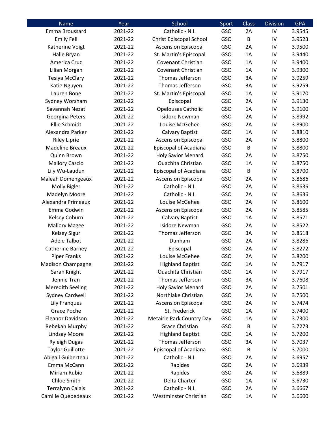| Name                     | Year    | School                         | Sport      | <b>Class</b> | <b>Division</b> | <b>GPA</b> |
|--------------------------|---------|--------------------------------|------------|--------------|-----------------|------------|
| Emma Broussard           | 2021-22 | Catholic - N.I.                | GSO        | 2A           | IV              | 3.9545     |
| <b>Emily Fell</b>        | 2021-22 | <b>Christ Episcopal School</b> | GSO        | B            | IV              | 3.9523     |
| Katherine Voigt          | 2021-22 | <b>Ascension Episcopal</b>     | GSO        | 2A           | IV              | 3.9500     |
| Halle Bryan              | 2021-22 | St. Martin's Episcopal         | GSO        | 1A           | IV              | 3.9440     |
| America Cruz             | 2021-22 | Covenant Christian             | GSO        | 1A           | IV              | 3.9400     |
| Lilian Morgan            | 2021-22 | Covenant Christian             | GSO        | 1A           | IV              | 3.9300     |
| <b>Tesiya McClary</b>    | 2021-22 | Thomas Jefferson               | GSO        | 3A           | IV              | 3.9259     |
| Katie Nguyen             | 2021-22 | Thomas Jefferson               | GSO        | 3A           | IV              | 3.9259     |
| Lauren Bone              | 2021-22 | St. Martin's Episcopal         | GSO        | 1A           | IV              | 3.9170     |
| Sydney Worsham           | 2021-22 | Episcopal                      | GSO        | 2A           | IV              | 3.9130     |
| Savannah Nezat           | 2021-22 | Opelousas Catholic             | GSO        | 1A           | IV              | 3.9100     |
| Georgina Peters          | 2021-22 | <b>Isidore Newman</b>          | GSO        | 2A           | IV              | 3.8992     |
| Ellie Schmidt            | 2021-22 | Louise McGehee                 | GSO        | 2A           | IV              | 3.8900     |
| Alexandra Parker         | 2021-22 | Calvary Baptist                | GSO        | 1A           | IV              | 3.8810     |
| <b>Riley Liprie</b>      | 2021-22 | <b>Ascension Episcopal</b>     | GSO        | 2A           | IV              | 3.8800     |
| <b>Madeline Breaux</b>   | 2021-22 | <b>Episcopal of Acadiana</b>   | GSO        | B            | IV              | 3.8800     |
| Quinn Brown              | 2021-22 | <b>Holy Savior Menard</b>      | GSO        | 2A           | IV              | 3.8750     |
| <b>Mallory Cascio</b>    | 2021-22 | <b>Ouachita Christian</b>      | GSO        | 1A           | IV              | 3.8750     |
| Lily Wu-Laudun           | 2021-22 | <b>Episcopal of Acadiana</b>   | GSO        | B            | IV              | 3.8700     |
| Maleah Domengeaux        | 2021-22 | <b>Ascension Episcopal</b>     | GSO        | 2A           | IV              | 3.8686     |
| Molly Bigler             | 2021-22 | Catholic - N.I.                | GSO        | 2A           | IV              | 3.8636     |
| Madelyn Moore            | 2021-22 | Catholic - N.I.                | GSO        | 2A           | IV              | 3.8636     |
| Alexandra Primeaux       | 2021-22 | Louise McGehee                 | GSO        | 2A           | IV              | 3.8600     |
| Emma Godwin              | 2021-22 | <b>Ascension Episcopal</b>     | GSO        | 2A           | IV              | 3.8585     |
| Kelsey Coburn            | 2021-22 | Calvary Baptist                | GSO        | 1A           | IV              | 3.8571     |
| <b>Mallory Magee</b>     | 2021-22 | <b>Isidore Newman</b>          | GSO        | 2A           | IV              | 3.8522     |
| <b>Kelsey Sigur</b>      | 2021-22 | Thomas Jefferson               | GSO        | 3A           | IV              | 3.8518     |
| <b>Adele Talbot</b>      | 2021-22 | Dunham                         | GSO        | 2A           | IV              | 3.8286     |
| Catherine Barney         | 2021-22 | Episcopal                      | GSO        | 2A           | IV              | 3.8272     |
| <b>Piper Franks</b>      | 2021-22 | Louise McGehee                 | GSO        | 2A           | IV              | 3.8200     |
| <b>Madison Champagne</b> | 2021-22 | <b>Highland Baptist</b>        | <b>GSO</b> | 1A           | IV              | 3.7917     |
| Sarah Knight             | 2021-22 | <b>Ouachita Christian</b>      | GSO        | 1A           | IV              | 3.7917     |
| Jennie Tran              | 2021-22 | Thomas Jefferson               | GSO        | 3A           | IV              | 3.7608     |
| <b>Meredith Seeling</b>  | 2021-22 | <b>Holy Savior Menard</b>      | GSO        | 2A           | IV              | 3.7501     |
| <b>Sydney Cardwell</b>   | 2021-22 | Northlake Christian            | GSO        | 2A           | IV              | 3.7500     |
| <b>Lily Franques</b>     | 2021-22 | <b>Ascension Episcopal</b>     | GSO        | 2A           | IV              | 3.7474     |
| Grace Poche              | 2021-22 | St. Frederick                  | GSO        | 1A           | IV              | 3.7400     |
| <b>Eleanor Davidson</b>  | 2021-22 | Metairie Park Country Day      | GSO        | 1A           | IV              | 3.7300     |
| Rebekah Murphy           | 2021-22 | <b>Grace Christian</b>         | GSO        | B            | IV              | 3.7273     |
| <b>Lindsay Moore</b>     | 2021-22 | <b>Highland Baptist</b>        | GSO        | 1A           | IV              | 3.7200     |
| <b>Ryleigh Dugas</b>     | 2021-22 | Thomas Jefferson               | GSO        | 3A           | IV              | 3.7037     |
| <b>Taylor Guillotte</b>  | 2021-22 | <b>Episcopal of Acadiana</b>   | GSO        | B            | IV              | 3.7000     |
| Abigail Guiberteau       | 2021-22 | Catholic - N.I.                | GSO        | 2A           | IV              | 3.6957     |
| Emma McCann              | 2021-22 | Rapides                        | GSO        | 2A           | IV              | 3.6939     |
| Miriam Rubio             | 2021-22 | Rapides                        | GSO        | 2A           | IV              | 3.6889     |
| Chloe Smith              | 2021-22 | Delta Charter                  | GSO        | 1A           | IV              | 3.6730     |
| <b>Terralynn Calais</b>  | 2021-22 | Catholic - N.I.                | GSO        | 2A           | IV              | 3.6667     |
| Camille Quebedeaux       | 2021-22 | Westminster Christian          | GSO        | 1A           | IV              | 3.6600     |